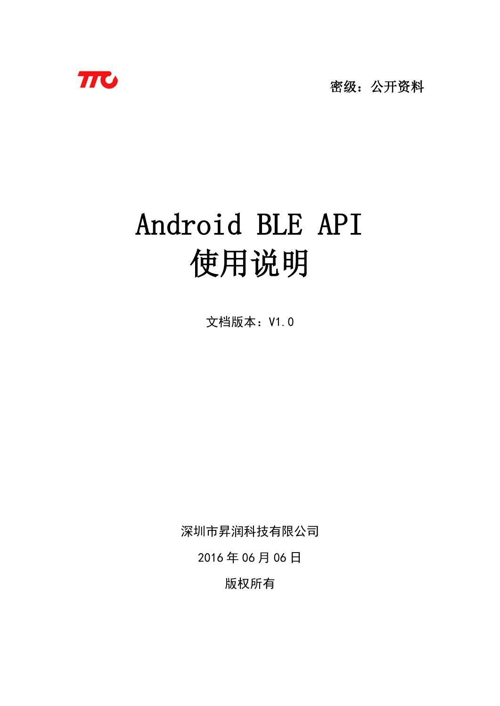

密级:公开资料

# Android BLE API 使用说明

文档版本: V1.0

深圳市昇润科技有限公司

2016 年 06 月 06 日

版权所有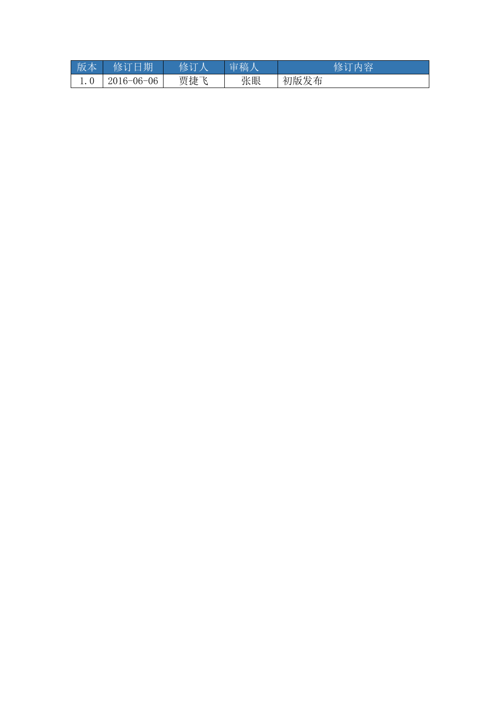| 版本 | 修订日期             | 修订人 | 审稿人 | 修订内容 |
|----|------------------|-----|-----|------|
|    | $2016 - 06 - 06$ | 贾捷飞 | 张眼  | 初版发布 |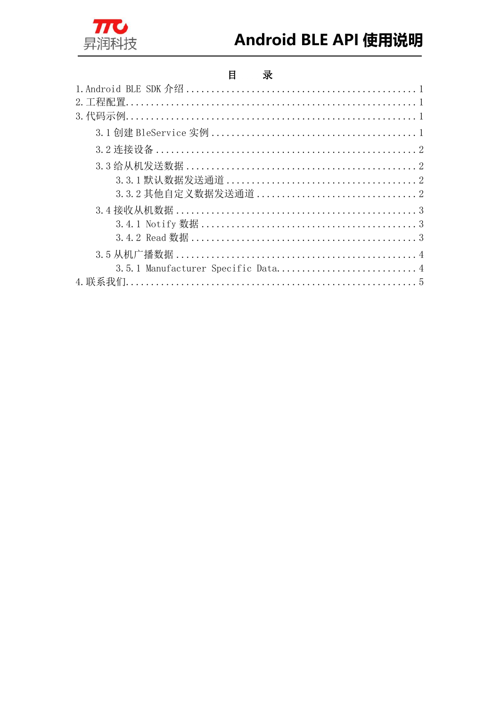

## Android BLE API 使用说明

#### $\mathbf{H}%$ 录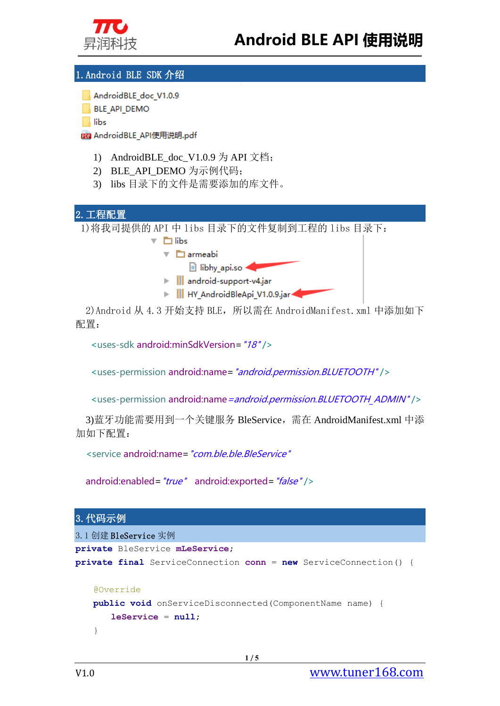

#### <span id="page-3-0"></span>1.Android BLE SDK 介绍

AndroidBLE doc V1.0.9

**BLE API DEMO** 

 $\|$  libs

Ĵ

m AndroidBLE API使用说明.pdf

- 1) AndroidBLE\_doc\_V1.0.9 为 API 文档;
- 2) BLE\_API\_DEMO 为示例代码;
- 3) libs 目录下的文件是需要添加的库文件。

<span id="page-3-1"></span>

2)Android 从 4.3 开始支持 BLE,所以需在 AndroidManifest.xml 中添加如下 配置:

<uses-sdk android:minSdkVersion="18" />

<uses-permission android:name="android.permission.BLUETOOTH" />

<uses-permission android:name = android.permission.BLUETOOTH\_ADMIN" />

3)蓝牙功能需要用到一个关键服务 BleService,需在 AndroidManifest.xml 中添 加如下配置:

<service android:name="com.ble.ble.BleService"

```
android:enabled="true" android:exported="false" />
```
#### <span id="page-3-2"></span>3.代码示例

<span id="page-3-3"></span>

| 3.1 创建 BleService 实例                                                      |  |  |  |  |
|---------------------------------------------------------------------------|--|--|--|--|
| private BleService mLeService;                                            |  |  |  |  |
| <b>private final</b> ServiceConnection $conn = new ServiceConnection()$ { |  |  |  |  |
|                                                                           |  |  |  |  |
| Coverride                                                                 |  |  |  |  |
| <b>public void</b> onServiceDisconnected(ComponentName name) {            |  |  |  |  |
| $leService = null$ :                                                      |  |  |  |  |
|                                                                           |  |  |  |  |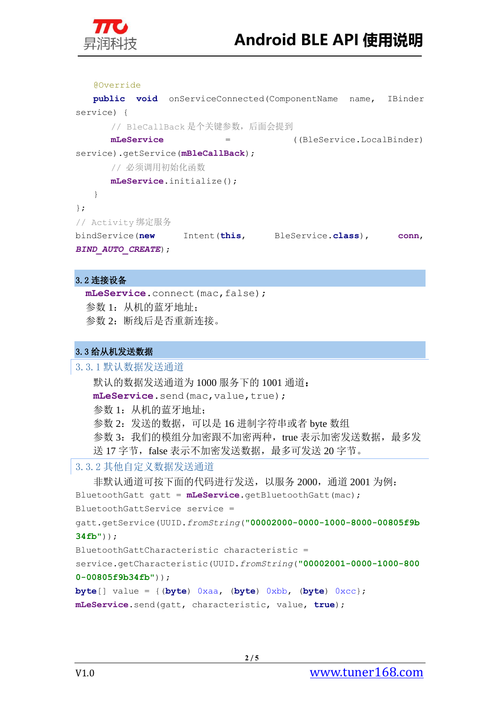

Ĵ

 @Override **public void** onServiceConnected(ComponentName name, IBinder service) { // BleCallBack 是个关键参数,后面会提到 **mLeService** = ((BleService.LocalBinder) service).getService(**mBleCallBack**); // 必须调用初始化函数 **mLeService**.initialize(); } }; // Activity 绑定服务 bindService(**new** Intent(**this**, BleService.**class**), **conn**, *BIND\_AUTO\_CREATE*);

#### <span id="page-4-0"></span>3.2 连接设备

```
mLeService.connect(mac,false);
参数 1: 从机的蓝牙地址;
参数 2:断线后是否重新连接。
```
#### <span id="page-4-1"></span>3.3 给从机发送数据

```
3.3.1 默认数据发送通道
   默认的数据发送通道为 1000 服务下的 1001 通道:
   mLeService.send(mac,value,true);
   参数 1: 从机的蓝牙地址;
   参数 2: 发送的数据, 可以是 16 进制字符串或者 byte 数组
   参数 3: 我们的模组分加密跟不加密两种, true 表示加密发送数据, 最多发
  送 17 字节, false 表示不加密发送数据, 最多可发送 20 字节。
3.3.2 其他自定义数据发送通道
   非默认通道可按下面的代码进行发送,以服务 2000, 通道 2001 为例:
BluetoothGatt gatt = mLeService.getBluetoothGatt(mac);
BluetoothGattService service = 
gatt.getService(UUID.fromString("00002000-0000-1000-8000-00805f9b
34fb"));
BluetoothGattCharacteristic characteristic = 
service.getCharacteristic(UUID.fromString("00002001-0000-1000-800
0-00805f9b34fb"));
byte[] value = {(byte) 0xaa, (byte) 0xbb, (byte) 0xcc};
mLeService.send(gatt, characteristic, value, true);
```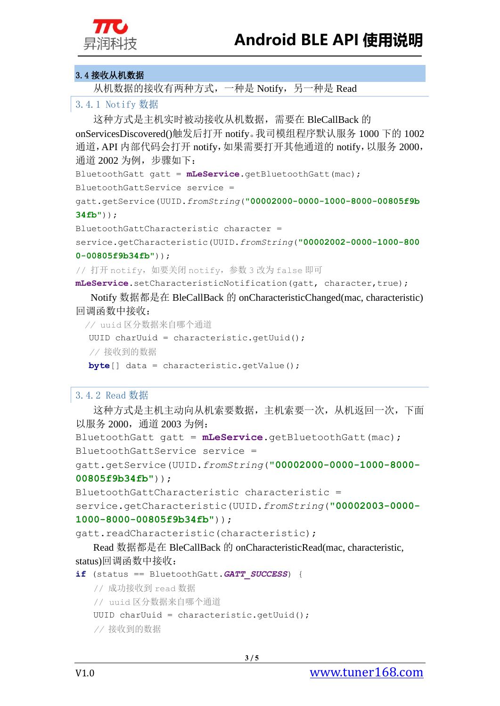

#### <span id="page-5-0"></span>3.4 接收从机数据

Ĵ

从机数据的接收有两种方式,一种是 Notify, 另一种是 Read

#### <span id="page-5-1"></span>3.4.1 Notify 数据

这种方式是主机实时被动接收从机数据,需要在 BleCallBack 的 onServicesDiscovered()触发后打开 notify。我司模组程序默认服务 1000 下的 1002 通道, API 内部代码会打开 notify, 如果需要打开其他通道的 notify, 以服务 2000, 通道 2002 为例,步骤如下:

BluetoothGatt gatt = **mLeService**.getBluetoothGatt(mac);

```
BluetoothGattService service =
```
gatt.getService(UUID.*fromString*(**"00002000-0000-1000-8000-00805f9b 34fb"**));

BluetoothGattCharacteristic character =

service.getCharacteristic(UUID.*fromString*(**"00002002-0000-1000-800**

**0-00805f9b34fb"**));

// 打开 notify, 如要关闭 notify, 参数 3 改为 false 即可

**mLeService**.setCharacteristicNotification(gatt, character,true);

Notify 数据都是在 BleCallBack 的 onCharacteristicChanged(mac, characteristic) 回调函数中接收:

```
 // uuid 区分数据来自哪个通道
UUID charUuid = characteristic.getUuid();
 // 接收到的数据
 byte[] data = characteristic.getValue();
```
#### <span id="page-5-2"></span>3.4.2 Read 数据

这种方式是主机主动向从机索要数据,主机索要一次,从机返回一次,下面 以服务 2000,通道 2003 为例:

```
BluetoothGatt gatt = mLeService.getBluetoothGatt(mac);
BluetoothGattService service =
```
gatt.getService(UUID.*fromString*(**"00002000-0000-1000-8000- 00805f9b34fb"**));

```
BluetoothGattCharacteristic characteristic =
```
service.getCharacteristic(UUID.*fromString*(**"00002003-0000- 1000-8000-00805f9b34fb"**));

gatt.readCharacteristic(characteristic);

Read 数据都是在 BleCallBack 的 onCharacteristicRead(mac, characteristic, status)回调函数中接收:

```
if (status == BluetoothGatt.GATT_SUCCESS) {
```

```
 // 成功接收到 read 数据
```

```
 // uuid 区分数据来自哪个通道
```

```
UUID charUuid = characteristic.getUuid();
```

```
 // 接收到的数据
```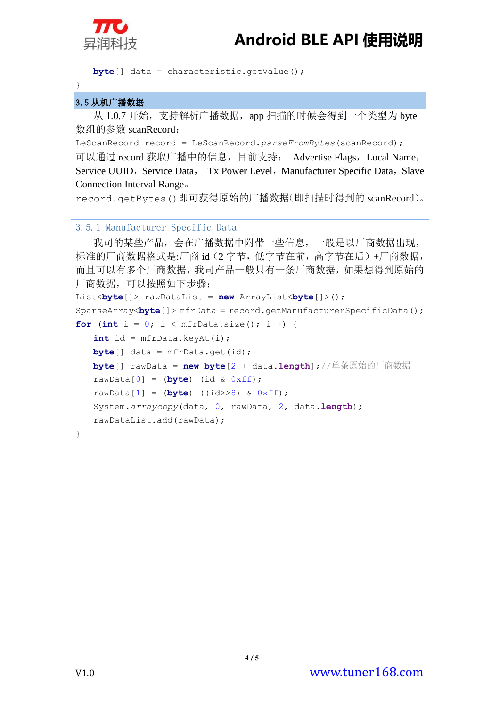

```
byte[] data = characteristic.getValue();
```
}

Ĵ

#### <span id="page-6-0"></span>3.5 从机广播数据

从 1.0.7 开始, 支持解析广播数据, app 扫描的时候会得到一个类型为 byte 数组的参数 scanRecord:

LeScanRecord record = LeScanRecord.*parseFromBytes*(scanRecord); 可以通过 record 获取广播中的信息,目前支持: Advertise Flags,Local Name, Service UUID, Service Data, Tx Power Level, Manufacturer Specific Data, Slave Connection Interval Range。

record.getBytes()即可获得原始的广播数据(即扫描时得到的 scanRecord)。

#### <span id="page-6-1"></span>3.5.1 Manufacturer Specific Data

```
我司的某些产品,会在广播数据中附带一些信息,一般是以厂商数据出现,
标准的厂商数据格式是:厂商 id(2 字节, 低字节在前, 高字节在后)+厂商数据,
而且可以有多个厂商数据,我司产品一般只有一条厂商数据,如果想得到原始的
厂商数据,可以按照如下步骤:
List<byte[]> rawDataList = new ArrayList<byte[]>();
SparseArray<byte[]> mfrData = record.getManufacturerSpecificData();
for (int i = 0; i < m frData.size(); i^{++}) {
    int id = mfrData.keyAt(i);
  byte[] data = mfrData.get(id);
   byte[] rawData = new byte[2 + data.length];//单条原始的厂商数据
   rawData[0] = (byte) (id & 0xff);
   rawData[1] = (byte) ((id>>8) & 0xff);
   System.arraycopy(data, 0, rawData, 2, data.length);
   rawDataList.add(rawData);
}
```